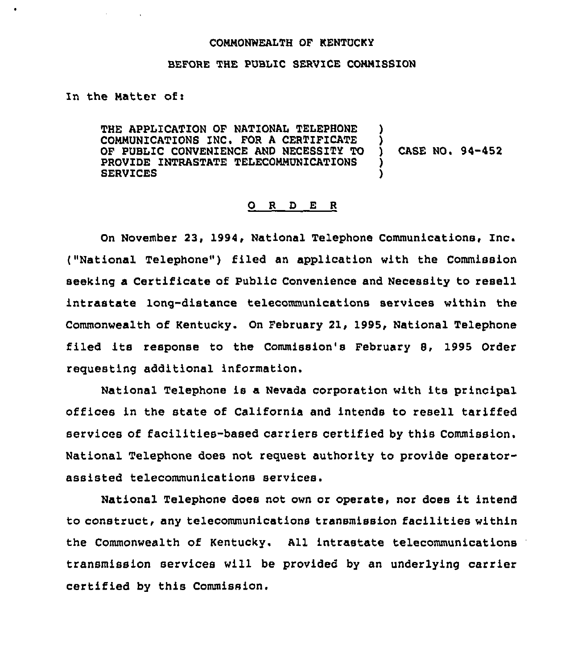## COMMONWEALTH OF KENTUCKY

## BEFORE THE PUBLIC SERVICE CONNISSIOH

In the Matter of:

THE APPLICATION OF NATIONAL TELEPHONE COMMUNICATIONS INC. FOR A CERTIFICATE )<br>OF PUBLIC CONVENIENCE AND NECESSITY TO ) OF PUBLIC CONVENIENCE AND NECESSITY TO PROVIDE INTRASTATE TELECOMMUNICATIONS **SERVICES** 

CASE HO. 94-452

## 0 <sup>R</sup> <sup>D</sup> E <sup>R</sup>

On November 23, 1994, National Telephone Communications, Inc. ("National Telephone") filed an application with the Commission seeking a Certificate of Public Convenience and Necessity to resell intrastate lonq-distance telecommunications services within the Commonwealth of Kentucky. On February 21, 1995, National Telephone filed its response to the Commission's February 8, 1995 Order requesting additional information.

National Telephone is a Nevada corporation with its principal offices in the state of California and intends to resell tariffed services of facilities-based carriers certified by this Commission. National Telephone does not request authority to provide operatorassisted telecommunications services.

National Telephone does not own or operate, nor does it intend to construct, any telecommunications transmission facilities within the Commonwealth of Kentucky. All intrastate telecommunications transmission services will be provided by an underlying carrier certified by this Commission.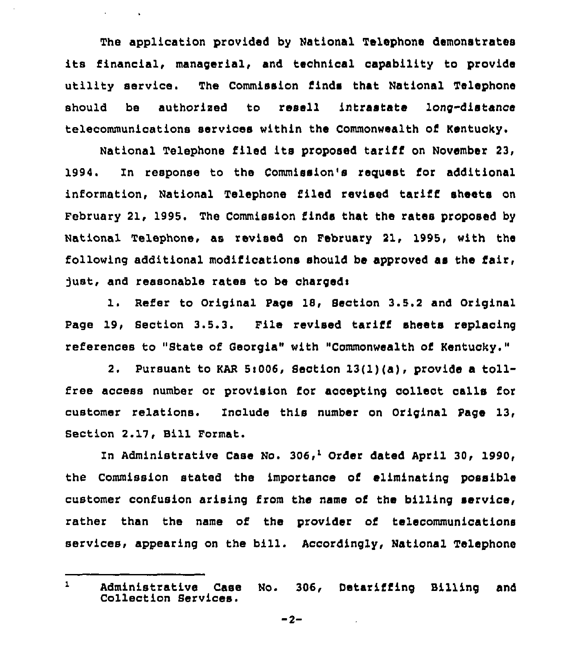The application provided by National Telephone demonstrates its financial, managerial, and technical capability to provide utility service. The Commission finds that National Telephone should be authorised to resell intrastate long-distance telecommunications services within the Commonwealth of Kentucky.

 $\mathbf{a}$  and  $\mathbf{a}$  and  $\mathbf{a}$ 

National Telephone filed its proposed tariff on November 23, 1994. Zn response to the Commission's request ior additional information, National Telephone filed revised tariff sheets on February 21, 1995. The Commission finds that the rates proposed by National Telephone, as revised on February 21, 1995, with the following additional modifications should be approved as the fair, just, and reasonable rates to be charged:

1. Refer to Original Page 10, Section 3.5.2 and Original Page 19, Section 3.5.3. File revised tariff sheets replacing ref'erences to "State of Georgia" with "Commonwealth of Kentucky."

2. Pursuant to KAR 5i006, Section 13(l)(a), provide <sup>a</sup> tollfree access number or provision for accepting collect calls for customer relations. Include this number on Original Page 13, Section 2.17, Bill Format.

In Administrative Case No. 306,<sup>1</sup> Order dated April 30, 1990, Commission stated the importance of eliminating possible customer confusion arising from the name of the billing service, rather than the name of the provider of telecommunications services, appearing on the bill. Accordingly, National Telephone

 $\mathbf{1}$ Administrative Case No. 306, Detariffing Billing and Collection Services.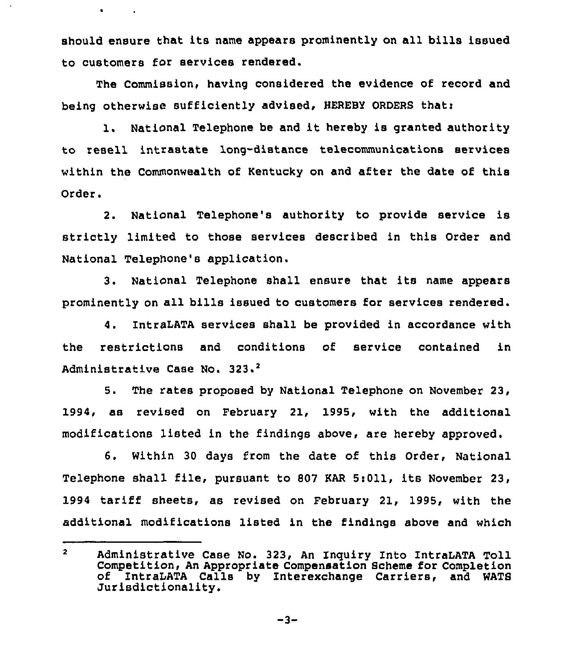should ensure that its name appears prominently on all bills issued to customers for services rendered.

 $\bullet$ 

 $\sim 100$  km  $^{-1}$ 

The Commission, having considered the evidence of record and being otherwise sufficiently advised, HEREBY ORDERS that:

l. National Telephone be and it hereby is granted authority to resell intrastate long-distance telecommunications services within the Commonwealth of Kentucky on and after the date of this Order.

2. National Telephone's authority to provide service is strictly limited to those services described in this Order and National Telephone's application,

3. National Telephone shall ensure that its name appears prominently on all bills issued to customers for services rendered.

4. IntraLATA services shall be provided in accordance with the restrictions and conditions of service contained in Administrative Case No. 323.<sup>2</sup>

 $5.$ The rates proposed by National Telephone on November 23, 1994, as revised on February 21, 1995, with the additional modifications listed in the findings above, are hereby approved.

6. Within 30 days from the date of this Order, National Telephone shall file, pursuant to <sup>807</sup> KAR 5:011, its November 23, 1994 tariff sheets, as revised on February 21, 1995, with the additional modifications listed in the findings above and which

 $\overline{2}$ Administrative Case No. 323, An Inquiry Into IntraLATA Toll of IntraLATA Calls by Interexchange Carriers, and WATS<br>Jurisdictionality.